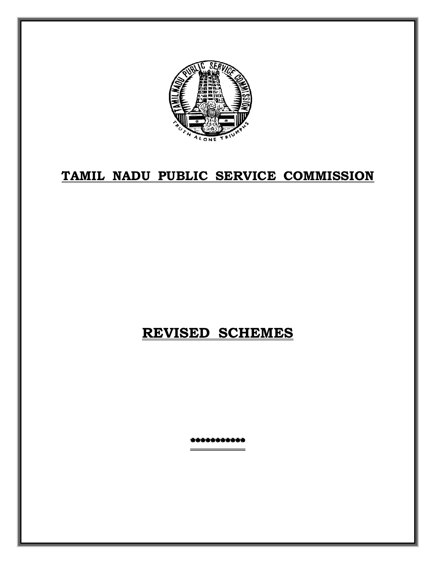

## **TAMIL NADU PUBLIC SERVICE COMMISSION**

## **REVISED SCHEMES**

\*\*\*\*\*\*\*\*\*\*\*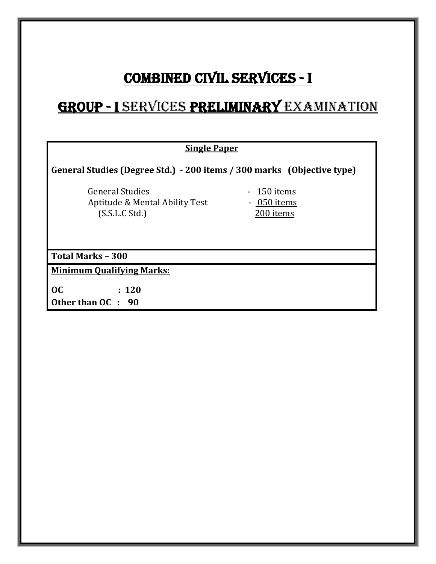# COMBINED CIVIL SERVICES - I

# GROUP - I SERVICES PRELIMINARY EXAMINATION

| <b>Single Paper</b>                                                        |                                                         |  |  |  |
|----------------------------------------------------------------------------|---------------------------------------------------------|--|--|--|
| General Studies (Degree Std.) - 200 items / 300 marks (Objective type)     |                                                         |  |  |  |
| <b>General Studies</b><br>Aptitude & Mental Ability Test<br>(S.S.L.C Std.) | 150 items<br>$\blacksquare$<br>- 050 items<br>200 items |  |  |  |
| <b>Total Marks - 300</b>                                                   |                                                         |  |  |  |
| <b>Minimum Qualifying Marks:</b>                                           |                                                         |  |  |  |
| 0 <sup>C</sup><br>: 120<br>Other than OC : 90                              |                                                         |  |  |  |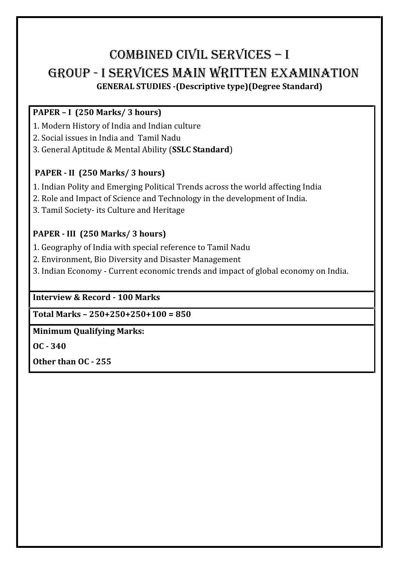# COMBINED CIVIL SERVICES – I GROUP - I SERVICES MAIN WRITTEN EXAMINATION **GENERAL STUDIES -(Descriptive type)(Degree Standard)**

### **PAPER – I (250 Marks/ 3 hours)**

- 
- 2. Social issues in India and Tamil Nadu
- 1. Modern History of India and Indian culture 3. General Aptitude & Mental Ability (**SSLC Standard**)

#### **PAPER - II (250 Marks/ 3 hours)**

- 1. Indian Polity and Emerging Political Trends across the world affecting India
- 2. Role and Impact of Science and Technology in the development of India.
- 3. Tamil Society- its Culture and Heritage

#### **PAPER - III (250 Marks/ 3 hours)**

- 1. Geography of India with special reference to Tamil Nadu
- 2. Environment, Bio Diversity and Disaster Management
- 3. Indian Economy Current economic trends and impact of global economy on India.

#### **Interview & Record - 100 Marks**

**Total Marks – 250+250+250+100 = 850**

#### **Minimum Qualifying Marks:**

**OC - 340**

**Other than OC - 255**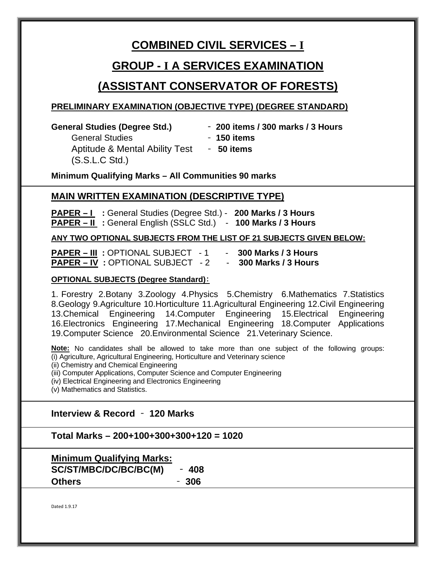### **COMBINED CIVIL SERVICES – I**

### **GROUP - I A SERVICES EXAMINATION**

### **(ASSISTANT CONSERVATOR OF FORESTS)**

#### **PRELIMINARY EXAMINATION (OBJECTIVE TYPE) (DEGREE STANDARD)**

- **General Studies (Degree Std.)** ‐ **200 items / 300 marks / 3 Hours**
	- General Studies‐ **150 items** Aptitude & Mental Ability Test ‐ **50 items** (S.S.L.C Std.)
		-

**Minimum Qualifying Marks – All Communities 90 marks**

#### **MAIN WRITTEN EXAMINATION (DESCRIPTIVE TYPE)**

**PAPER – I :** General Studies (Degree Std.) - **200 Marks / 3 Hours PAPER – II :** General English (SSLC Std.)- **100 Marks / 3 Hours**

#### **ANY TWO OPTIONAL SUBJECTS FROM THE LIST OF 21 SUBJECTS GIVEN BELOW:**

**PAPER – III** : OPTIONAL SUBJECT - 1 - **300 Marks / 3 Hours**<br>**PAPER – IV** : OPTIONAL SUBJECT - 2 - **300 Marks / 3 Hours PAPER – IV : OPTIONAL SUBJECT - 2** 

#### **OPTIONAL SUBJECTS (Degree Standard)**:

1. Forestry 2.Botany 3.Zoology 4.Physics 5.Chemistry 6.Mathematics 7.Statistics 8.Geology 9.Agriculture 10.Horticulture 11.Agricultural Engineering 12.Civil Engineering 13.Chemical Engineering 14.Computer Engineering 15.Electrical Engineering 16.Electronics Engineering 17.Mechanical Engineering 18.Computer Applications 19.Computer Science 20.Environmental Science 21.Veterinary Science.

**Note:** No candidates shall be allowed to take more than one subject of the following groups: (i) Agriculture, Agricultural Engineering, Horticulture and Veterinary science

(ii) Chemistry and Chemical Engineering

(iii) Computer Applications, Computer Science and Computer Engineering

(iv) Electrical Engineering and Electronics Engineering

(v) Mathematics and Statistics.

#### **Interview & Record** ‐ **120 Marks**

**Total Marks – 200+100+300+300+120 = 1020**

**Minimum Qualifying Marks: SC/ST/MBC/DC/BC/BC(M)** ‐ **408 Others** ‐ **306**

Dated 1.9.17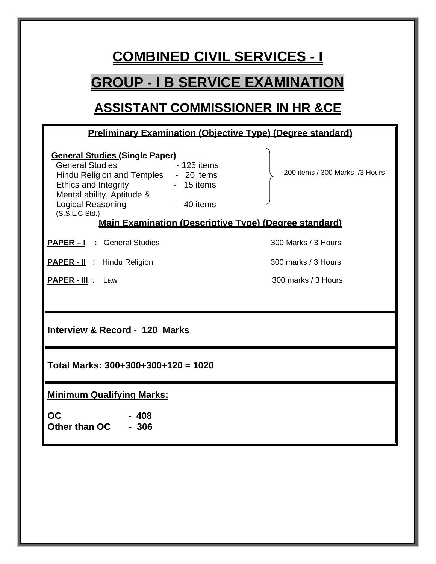# **COMBINED CIVIL SERVICES - I**

## **GROUP - I B SERVICE EXAMINATION**

## **ASSISTANT COMMISSIONER IN HR &CE**

# **Preliminary Examination (Objective Type) (Degree standard) General Studies (Single Paper)** General Studies **- 125 items** Hindu Religion and Temples - 20 items<br>Ethics and Integrity - 15 items Ethics and Integrity Mental ability, Aptitude &<br>Logical Reasoning [109] - 40 items Logical Reasoning<br>(S.S.L.C Std.) 200 items / 300 Marks /3 Hours **Main Examination (Descriptive Type) (Degree standard) PAPER – 1** : General Studies 300 Marks / 3 Hours **PAPER - II** : Hindu Religion 300 marks / 3 Hours **PAPER - III** : Law 300 marks / 3 Hours **Interview & Record - 120 Marks Total Marks: 300+300+300+120 = 1020 Minimum Qualifying Marks: OC - 408 Other than OC - 306**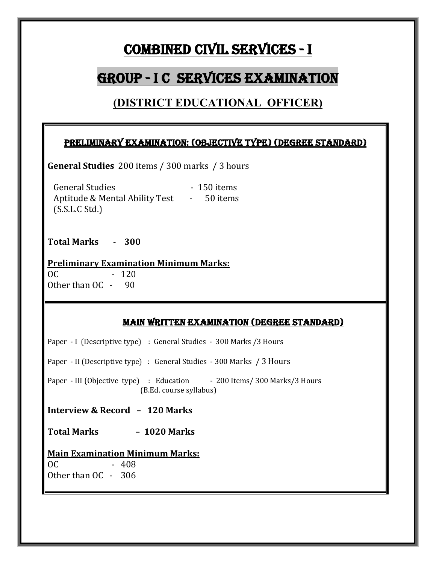# COMBINED CIVIL SERVICES - I

## GROUP - I C SERVICES EXAMINATION

### **(DISTRICT EDUCATIONAL OFFICER)**

#### Preliminary Examination: (Objective type) (Degree Standard)

**General Studies** 200 items / 300 marks / 3 hours

General Studies **- 150** items Aptitude & Mental Ability Test - 50 items (S.S.L.C Std.)

**Total Marks - 300** 

**Preliminary Examination Minimum Marks:**  $OC$  - 120 Other than OC - 90

#### Main Written Examination (degree standard)

Paper - I (Descriptive type) : General Studies - 300 Marks /3 Hours

Paper - II (Descriptive type) : General Studies - 300 Marks / 3 Hours

Paper - III (Objective type) : Education - 200 Items/ 300 Marks/3 Hours (B.Ed. course syllabus)

**Interview & Record – 120 Marks**

**Total Marks – 1020 Marks** 

#### **Main Examination Minimum Marks:**

OC - 408 Other than OC - 306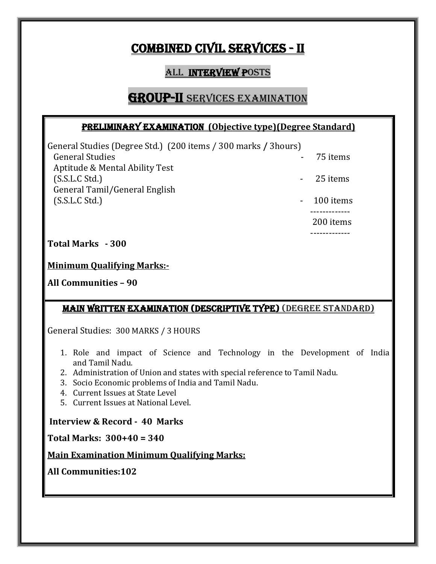## COMBINED CIVIL SERVICES - II

### **ALL INTERVIEW POSTS**

### **GROUP-II** SERVICES EXAMINATION

#### Preliminary Examination **(Objective type)(Degree Standard)**

General Studies (Degree Std.) (200 items / 300 marks **/** 3hours) General Studies **Contract Contract Contract Contract Contract Contract Contract Contract Contract Contract Contract Contract Contract Contract Contract Contract Contract Contract Contract Contract Contract Contract Contrac**  Aptitude & Mental Ability Test (S.S.L.C Std.) - 25 items General Tamil/General English (S.S.L.C Std.) 200 items 200 items 200 items 200 items 200 items 200 items 200 items 200 items 200 items 200 items 200 items 200 items 200 items 200 items 200 items 200 items 200 items 200 items 200 items 200 items 200 ite

 ------------- 200 items

 ------------- **Total Marks - 300** 

**Minimum Qualifying Marks:-**

**All Communities – 90**

#### Main Written Examination (Descriptive Type) (Degree standard)

General Studies: 300 MARKS / 3 HOURS

- 1. Role and impact of Science and Technology in the Development of India and Tamil Nadu.
- 2. Administration of Union and states with special reference to Tamil Nadu.
- 3. Socio Economic problems of India and Tamil Nadu.
- 4. Current Issues at State Level
- 5. Current Issues at National Level.

**Interview & Record - 40 Marks**

**Total Marks: 300+40 = 340** 

**Main Examination Minimum Qualifying Marks:**

**All Communities:102**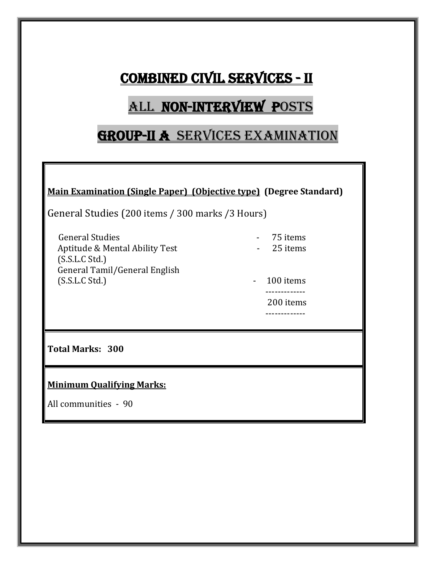# COMBINED CIVIL SERVICES - II

# ALL NON-INTERVIEW POSTS

### GROUP-II A SERVICES EXAMINATION

**Main Examination (Single Paper) (Objective type) (Degree Standard)** 

General Studies (200 items / 300 marks /3 Hours)

General Studies<br>Antitude & Mental Ability Test<br>Antitude & Mental Ability Test<br>Antitude & Mental Ability Test<br>Antitude & Mental Ability Test Aptitude & Mental Ability Test (S.S.L.C Std.) General Tamil/General English (S.S.L.C Std.) 100 items - 100 items - 100 items - 100 items - 100 items - 100 items - 100 items - 100 items - 100 items - 100 items - 100 items - 100 items - 100 items - 100 items - 100 items - 100 items - 100 items - 100

- 
- 
- ------------- 200 items -------------

**Total Marks: 300**

**Minimum Qualifying Marks:**

All communities - 90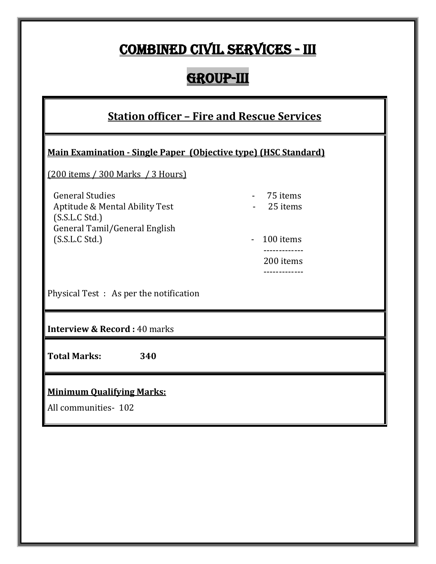# COMBINED CIVIL SERVICES - III

# GROUP-III

| <b>Station officer - Fire and Rescue Services</b>                                                                             |                                   |  |  |  |
|-------------------------------------------------------------------------------------------------------------------------------|-----------------------------------|--|--|--|
| Main Examination - Single Paper (Objective type) (HSC Standard)                                                               |                                   |  |  |  |
| $(200$ items / 300 Marks / 3 Hours)                                                                                           |                                   |  |  |  |
| <b>General Studies</b><br>Aptitude & Mental Ability Test<br>(S.S.L.C Std.)<br>General Tamil/General English<br>(S.S.L.C Std.) | 75 items<br>25 items<br>100 items |  |  |  |
|                                                                                                                               | 200 items                         |  |  |  |
| Physical Test : As per the notification                                                                                       | ------------                      |  |  |  |
| <b>Interview &amp; Record: 40 marks</b>                                                                                       |                                   |  |  |  |
| <b>Total Marks:</b><br>340                                                                                                    |                                   |  |  |  |
| <b>Minimum Qualifying Marks:</b><br>All communities-102                                                                       |                                   |  |  |  |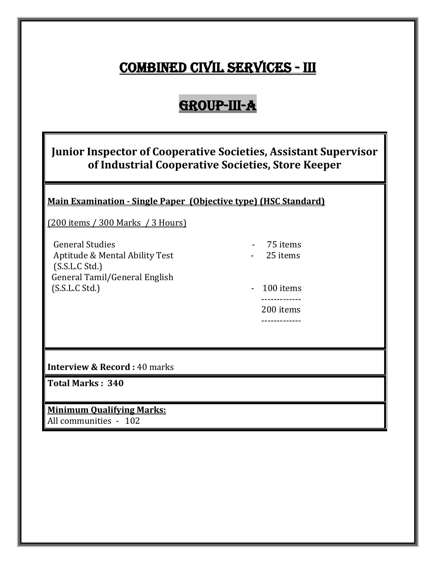# COMBINED CIVIL SERVICES - III

# Group-III-A

### **Junior Inspector of Cooperative Societies, Assistant Supervisor of Industrial Cooperative Societies, Store Keeper**

#### **Main Examination - Single Paper (Objective type) (HSC Standard)**

(200 items / 300 Marks / 3 Hours)

General Studies<br>Antitude & Mental Ability Test **1988** - 25 items Aptitude & Mental Ability Test (S.S.L.C Std.) General Tamil/General English (S.S.L.C Std.) 100 items - 100 items - 100 items - 100 items - 100 items - 100 items - 100 items - 100 items - 100 items - 100 items - 100 items - 100 items - 100 items - 100 items - 100 items - 100 items - 100 items - 100

- 
- ------------- 200 items -------------

**Interview & Record: 40 marks** 

**Total Marks : 340**

**Minimum Qualifying Marks:** All communities - 102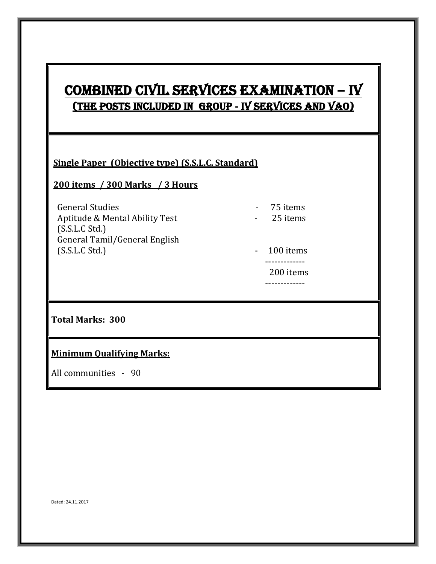## COMBINED CIVIL SERVICES EXAMINATION **–** IV (The posts included in GROUP **-** IV services AND VAO)

#### **Single Paper (Objective type) (S.S.L.C. Standard)**

-------------

#### **200 items / 300 Marks / 3 Hours**

 General Studies - 75 items Aptitude & Mental Ability Test (S.S.L.C Std.) General Tamil/General English (S.S.L.C Std.) 100 items - 100 items - 100 items - 100 items - 100 items - 100 items - 100 items - 100 items - 100 items - 100 items - 100 items - 100 items - 100 items - 100 items - 100 items - 100 items - 100 items - 100

- 
- 
- ------------- 200 items
	-

### **Total Marks: 300**

#### **Minimum Qualifying Marks:**

All communities - 90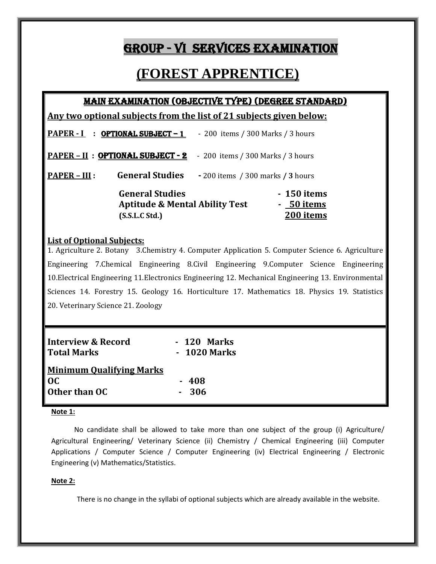### GROUP - VI SERVICES EXAMINATION

### **(FOREST APPRENTICE)**

#### Main Examination (Objective type) (degree standard)

**Any two optional subjects from the list of 21 subjects given below:** 

| PAPER - I : OPTIONAL SUBJECT - 1                                                      | - 200 items / 300 Marks / 3 hours      |
|---------------------------------------------------------------------------------------|----------------------------------------|
| <u> PAPER - II : OPTIONAL SUBJECT - 2</u>                                             | - 200 items / 300 Marks / 3 hours      |
| <b>General Studies</b><br><b>PAPER – III :</b>                                        | $-200$ items / 300 marks / 3 hours     |
| <b>General Studies</b><br><b>Aptitude &amp; Mental Ability Test</b><br>(S.S.L.C Std.) | - 150 items<br>- 50 items<br>200 items |

#### **List of Optional Subjects:**

1. Agriculture 2. Botany 3.Chemistry 4. Computer Application 5. Computer Science 6. Agriculture Engineering 7.Chemical Engineering 8.Civil Engineering 9.Computer Science Engineering 10.Electrical Engineering 11.Electronics Engineering 12. Mechanical Engineering 13. Environmental Sciences 14. Forestry 15. Geology 16. Horticulture 17. Mathematics 18. Physics 19. Statistics 20. Veterinary Science 21. Zoology

| <b>Interview &amp; Record</b><br><b>Total Marks</b> | - 120 Marks<br>- 1020 Marks |
|-----------------------------------------------------|-----------------------------|
| <b>Minimum Qualifying Marks</b>                     |                             |
| OC.                                                 | $-408$                      |
| Other than OC                                       | 306                         |

#### **Note 1:**

 No candidate shall be allowed to take more than one subject of the group (i) Agriculture/ Agricultural Engineering/ Veterinary Science (ii) Chemistry / Chemical Engineering (iii) Computer Applications / Computer Science / Computer Engineering (iv) Electrical Engineering / Electronic Engineering (v) Mathematics/Statistics.

#### **Note 2:**

There is no change in the syllabi of optional subjects which are already available in the website.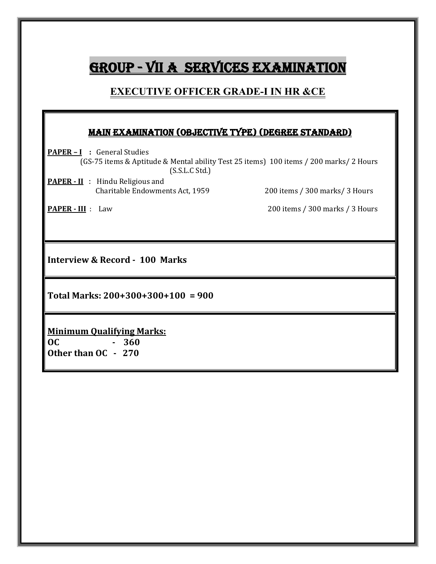# GROUP - VII A SERVICES EXAMINATION

#### **EXECUTIVE OFFICER GRADE-I IN HR &CE**

#### Main Examination (Objective type) (Degree standard)

**PAPER – I** : General Studies (GS-75 items & Aptitude & Mental ability Test 25 items) 100 items / 200 marks/ 2 Hours (S.S.L.C Std.)

**PAPER - II** :Hindu Religious and

200 items / 300 marks/ 3 Hours

l

**PAPER - III** : Law 200 items / 300 marks / 3 Hours

**Interview & Record - 100 Marks**

**Total Marks: 200+300+300+100 = 900**

**Minimum Qualifying Marks:**

**OC - 360 Other than OC - 270**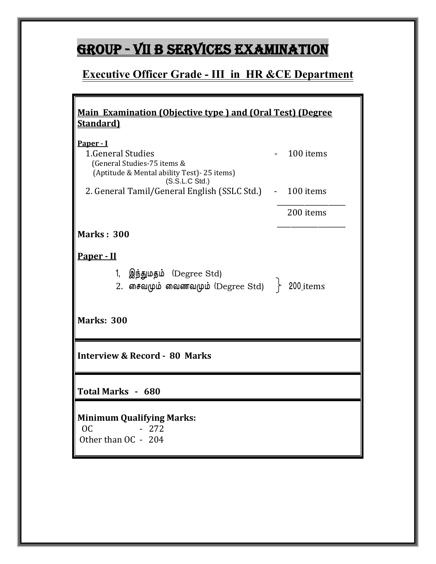# GROUP - VII B SERVICES EXAMINATION

## **Executive Officer Grade - III in HR &CE Department**

| <u><b>Main Examination (Objective type) and (Oral Test) (Degree</b></u><br><b>Standard</b>                                       |                       |
|----------------------------------------------------------------------------------------------------------------------------------|-----------------------|
| Paper - I<br>1. General Studies<br>(General Studies-75 items &<br>(Aptitude & Mental ability Test) - 25 items)<br>(S.S.L.C Std.) | 100 items             |
| 2. General Tamil/General English (SSLC Std.) - 100 items                                                                         |                       |
|                                                                                                                                  | 200 items             |
| <b>Marks: 300</b>                                                                                                                |                       |
| Paper - II<br>1,<br>இந்துமதம் (Degree Std)<br>2. சைவமும் வைணவமும் (Degree Std) $\;$ $\;$ $\;$                                    | 200 <sub>_items</sub> |
| <b>Marks: 300</b>                                                                                                                |                       |
| <b>Interview &amp; Record - 80 Marks</b>                                                                                         |                       |
| Total Marks - 680                                                                                                                |                       |
| <b>Minimum Qualifying Marks:</b><br><b>OC</b><br>- 272<br>Other than OC - 204                                                    |                       |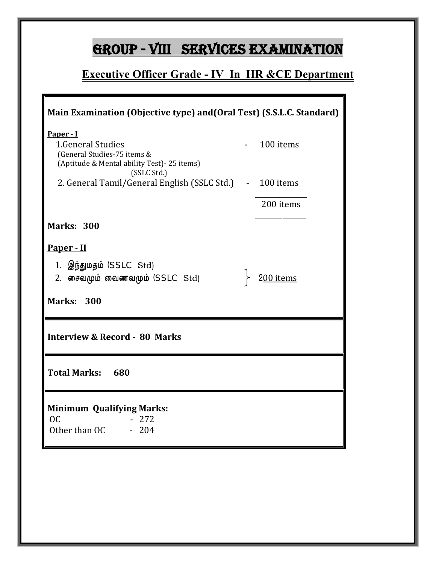# GROUP - VIII SERVICES EXAMINATION

### **Executive Officer Grade - IV In HR &CE Department**

 $\overline{\mathbf{r}}$ 

| Main Examination (Objective type) and (Oral Test) (S.S.L.C. Standard)                                        |  |           |  |
|--------------------------------------------------------------------------------------------------------------|--|-----------|--|
| Paper - I<br>1. General Studies<br>(General Studies-75 items &<br>(Aptitude & Mental ability Test)-25 items) |  | 100 items |  |
| (SSLC Std.)<br>2. General Tamil/General English (SSLC Std.) - 100 items                                      |  |           |  |
|                                                                                                              |  | 200 items |  |
| <b>Marks: 300</b>                                                                                            |  |           |  |
| Paper - II                                                                                                   |  |           |  |
| 1. இந்துமதம் (SSLC Std)<br>2. சைவமும் வைணவமும் (SSLC Std)                                                    |  | 200 items |  |
| <b>Marks: 300</b>                                                                                            |  |           |  |
| <b>Interview &amp; Record - 80 Marks</b>                                                                     |  |           |  |
| <b>Total Marks: 680</b>                                                                                      |  |           |  |
| <b>Minimum Qualifying Marks:</b>                                                                             |  |           |  |
| OC<br>$-272$<br>Other than OC<br>$-204$                                                                      |  |           |  |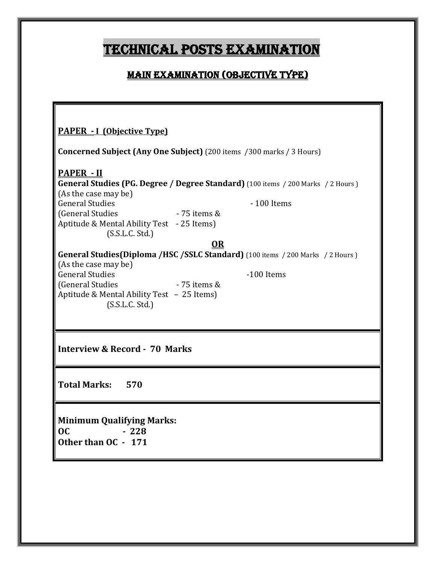# TECHNICAL POSTS EXAMINATION

### Main Examination (Objective type)

| <b>PAPER - I (Objective Type)</b>                                                   |                  |                                                                                         |  |  |  |
|-------------------------------------------------------------------------------------|------------------|-----------------------------------------------------------------------------------------|--|--|--|
| <b>Concerned Subject (Any One Subject)</b> (200 items /300 marks / 3 Hours)         |                  |                                                                                         |  |  |  |
| <b>PAPER - II</b>                                                                   |                  | <b>General Studies (PG. Degree / Degree Standard)</b> (100 items / 200 Marks / 2 Hours) |  |  |  |
| (As the case may be)                                                                |                  |                                                                                         |  |  |  |
| <b>General Studies</b>                                                              |                  | $-100$ Items                                                                            |  |  |  |
| (General Studies                                                                    | $-75$ items $\&$ |                                                                                         |  |  |  |
| Aptitude & Mental Ability Test - 25 Items)<br>(S.S.L.C. Std.)                       |                  |                                                                                         |  |  |  |
|                                                                                     | <b>OR</b>        |                                                                                         |  |  |  |
|                                                                                     |                  | General Studies(Diploma /HSC /SSLC Standard) (100 items / 200 Marks / 2 Hours)          |  |  |  |
| (As the case may be)                                                                |                  |                                                                                         |  |  |  |
| <b>General Studies</b>                                                              |                  | -100 Items                                                                              |  |  |  |
| (General Studies                                                                    | $-75$ items $\&$ |                                                                                         |  |  |  |
| Aptitude & Mental Ability Test - 25 Items)<br>(S.S.L.C. Std.)                       |                  |                                                                                         |  |  |  |
|                                                                                     |                  |                                                                                         |  |  |  |
|                                                                                     |                  |                                                                                         |  |  |  |
|                                                                                     |                  |                                                                                         |  |  |  |
| <b>Interview &amp; Record - 70 Marks</b>                                            |                  |                                                                                         |  |  |  |
| Total Marks: 570                                                                    |                  |                                                                                         |  |  |  |
| <b>Minimum Qualifying Marks:</b><br>0 <sup>C</sup><br>$-228$<br>Other than OC - 171 |                  |                                                                                         |  |  |  |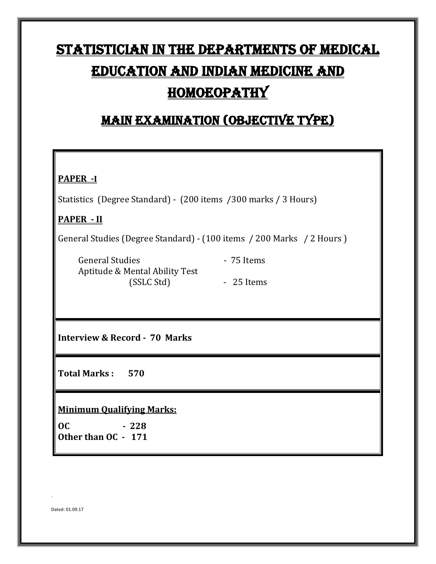# Statistician in the departments of medical education and Indian medicine and **HOMOEOPATHY**

### Main Examination (Objective type)

#### **PAPER -I**

Statistics (Degree Standard) -(200 items /300 marks / 3 Hours)

#### **PAPER - II**

General Studies (Degree Standard) - (100 items / 200 Marks / 2 Hours )

General Studies **- 75 Items**  Aptitude & Mental Ability Test (SSLC Std) - 25 Items

**Interview & Record - 70 Marks**

**Total Marks : 570**

**Minimum Qualifying Marks:** 

**OC - 228 Other than OC - 171**

Dated: 01.09.17

.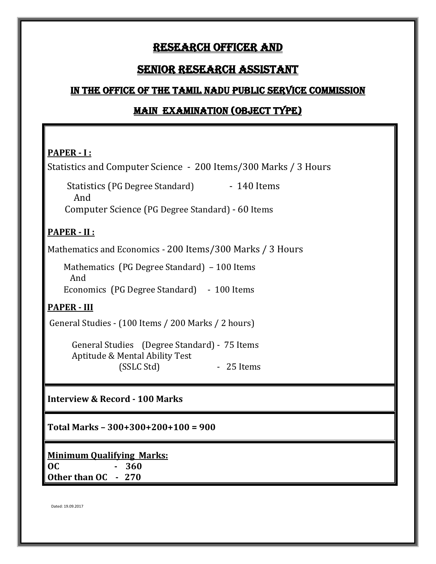### Research Officer and

#### Senior Research Assistant

#### In the office of the Tamil Nadu Public Service Commission

#### MAIN EXAMINATION (Object type)

#### **PAPER - I :**

Statistics and Computer Science - 200 Items/300 Marks / 3 Hours

Statistics (PG Degree Standard) - 140 Items And Computer Science (PG Degree Standard) - 60 Items

#### **PAPER - II :**

Mathematics and Economics - 200 Items/300 Marks / 3 Hours

 Mathematics (PG Degree Standard) – 100 Items And Economics (PG Degree Standard) - 100 Items

#### **PAPER - III**

General Studies - (100 Items / 200 Marks / 2 hours)

 General Studies (Degree Standard) - 75 Items Aptitude & Mental Ability Test - 25 Items

**Interview & Record - 100 Marks**

**Total Marks – 300+300+200+100 = 900**

**Minimum Qualifying Marks: OC - 360 Other than OC - 270**

Dated: 19.09.2017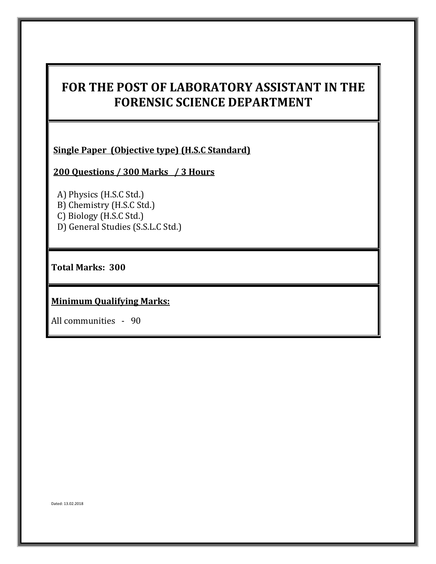### **FOR THE POST OF LABORATORY ASSISTANT IN THE FORENSIC SCIENCE DEPARTMENT**

**Single Paper (Objective type) (H.S.C Standard)**

**200 Questions / 300 Marks / 3 Hours** 

 A) Physics (H.S.C Std.) B) Chemistry (H.S.C Std.) C) Biology (H.S.C Std.) D) General Studies (S.S.L.C Std.)

**Total Marks: 300**

**Minimum Qualifying Marks:**

All communities - 90

Dated: 13.02.2018